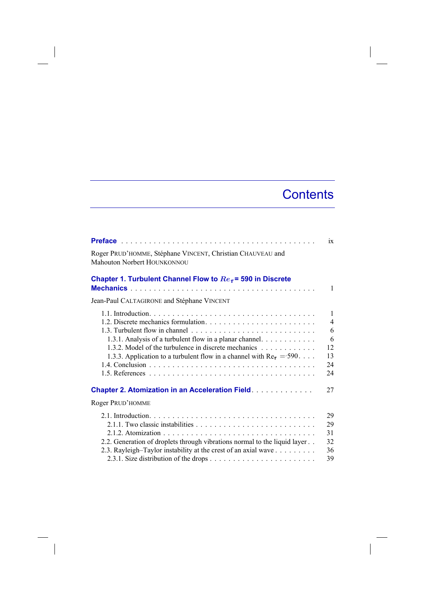## **Contents**

 $\overline{\phantom{a}}$ 

|                                                                                                                                                                                                  | ix                                                               |
|--------------------------------------------------------------------------------------------------------------------------------------------------------------------------------------------------|------------------------------------------------------------------|
| Roger PRUD'HOMME, Stéphane VINCENT, Christian CHAUVEAU and<br><b>Mahouton Norbert HOUNKONNOU</b>                                                                                                 |                                                                  |
| Chapter 1. Turbulent Channel Flow to $Re\tau$ = 590 in Discrete                                                                                                                                  | 1                                                                |
| Jean-Paul CALTAGIRONE and Stéphane VINCENT                                                                                                                                                       |                                                                  |
| 1.3.1. Analysis of a turbulent flow in a planar channel.<br>1.3.2. Model of the turbulence in discrete mechanics<br>1.3.3. Application to a turbulent flow in a channel with $Re_{\tau} = 590$ . | $\mathbf{1}$<br>$\overline{4}$<br>6<br>6<br>12<br>13<br>24<br>24 |
| <b>Chapter 2. Atomization in an Acceleration Field.</b>                                                                                                                                          | 27                                                               |
| Roger PRUD'HOMME                                                                                                                                                                                 |                                                                  |
| 2.2. Generation of droplets through vibrations normal to the liquid layer<br>2.3. Rayleigh-Taylor instability at the crest of an axial wave                                                      | 29<br>29<br>31<br>32<br>36<br>39                                 |

 $\begin{array}{c} \hline \end{array}$ 

 $\overline{\phantom{a}}$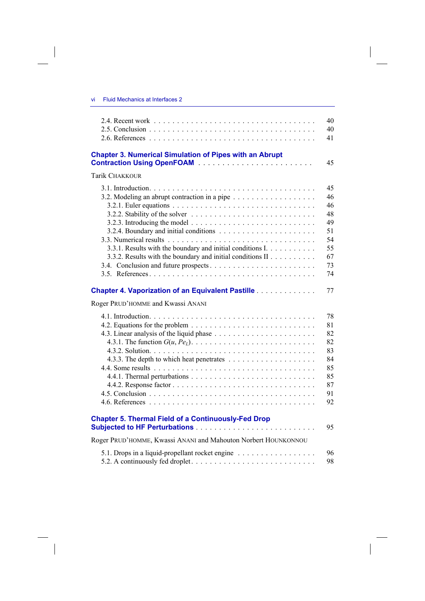vi Fluid Mechanics at Interfaces 2

 $\overline{\phantom{a}}$ 

 $\begin{array}{c} \hline \end{array}$ 

|                                                                                                                                                                                                                                                                                                                | 40<br>40<br>41                                                 |
|----------------------------------------------------------------------------------------------------------------------------------------------------------------------------------------------------------------------------------------------------------------------------------------------------------------|----------------------------------------------------------------|
| <b>Chapter 3. Numerical Simulation of Pipes with an Abrupt</b>                                                                                                                                                                                                                                                 | 45                                                             |
| Tarik CHAKKOUR                                                                                                                                                                                                                                                                                                 |                                                                |
| 3.2.2. Stability of the solver $\ldots \ldots \ldots \ldots \ldots \ldots \ldots \ldots$<br>3.2.3. Introducing the model $\ldots \ldots \ldots \ldots \ldots \ldots \ldots \ldots$<br>3.3.1. Results with the boundary and initial conditions I.<br>3.3.2. Results with the boundary and initial conditions II | 45<br>46<br>46<br>48<br>49<br>51<br>54<br>55<br>67<br>73<br>74 |
| <b>Chapter 4. Vaporization of an Equivalent Pastille Community Chapter 4. Vaporization of an Equivalent Pastille</b><br>Roger PRUD'HOMME and Kwassi ANANI                                                                                                                                                      | 77                                                             |
|                                                                                                                                                                                                                                                                                                                | 78<br>81<br>82<br>82<br>83<br>84<br>85<br>85<br>87<br>91<br>92 |
| <b>Chapter 5. Thermal Field of a Continuously-Fed Drop</b>                                                                                                                                                                                                                                                     | 95                                                             |
| Roger PRUD'HOMME, Kwassi ANANI and Mahouton Norbert HOUNKONNOU                                                                                                                                                                                                                                                 |                                                                |
| 5.1. Drops in a liquid-propellant rocket engine                                                                                                                                                                                                                                                                | 96<br>98                                                       |

 $\overline{\phantom{a}}$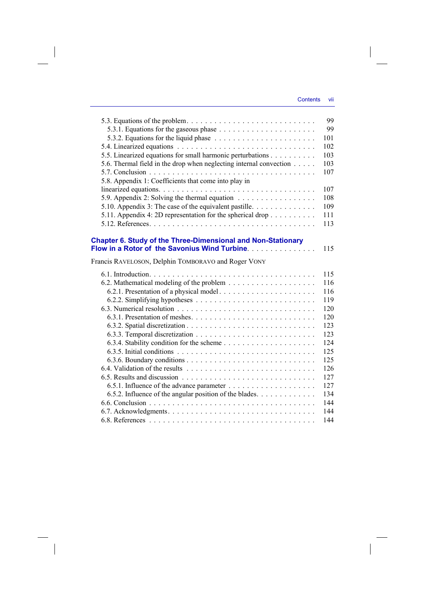$\overline{\phantom{a}}$ 

| 5.3. Equations of the problem. $\ldots \ldots \ldots \ldots \ldots \ldots \ldots \ldots \ldots$ | 99         |
|-------------------------------------------------------------------------------------------------|------------|
|                                                                                                 | 99         |
|                                                                                                 | 101<br>102 |
|                                                                                                 | 103        |
| 5.5. Linearized equations for small harmonic perturbations                                      | 103        |
| 5.6. Thermal field in the drop when neglecting internal convection                              | 107        |
|                                                                                                 |            |
| 5.8. Appendix 1: Coefficients that come into play in                                            | 107        |
| 5.9. Appendix 2: Solving the thermal equation                                                   | 108        |
| 5.10. Appendix 3: The case of the equivalent pastille. $\dots \dots \dots \dots$                | 109        |
| 5.11. Appendix 4: 2D representation for the spherical drop $\dots \dots \dots$                  | 111        |
|                                                                                                 | 113        |
|                                                                                                 |            |
| Chapter 6. Study of the Three-Dimensional and Non-Stationary                                    |            |
| Flow in a Rotor of the Savonius Wind Turbine.                                                   | 115        |
| Francis RAVELOSON, Delphin TOMBORAVO and Roger VONY                                             |            |
|                                                                                                 | 115        |
|                                                                                                 | 116        |
| 6.2.1. Presentation of a physical model                                                         | 116        |
|                                                                                                 | 119        |
|                                                                                                 | 120        |
|                                                                                                 | 120        |
|                                                                                                 | 123        |
|                                                                                                 | 123        |
|                                                                                                 | 124        |
|                                                                                                 | 125        |
|                                                                                                 | 125        |
|                                                                                                 | 126        |
|                                                                                                 | 127        |
|                                                                                                 | 127        |
| 6.5.2. Influence of the angular position of the blades.                                         | 134        |
|                                                                                                 | 144        |
|                                                                                                 | 144        |
|                                                                                                 | 144        |

 $\overline{\phantom{a}}$ 

 $\begin{array}{c} \hline \end{array}$